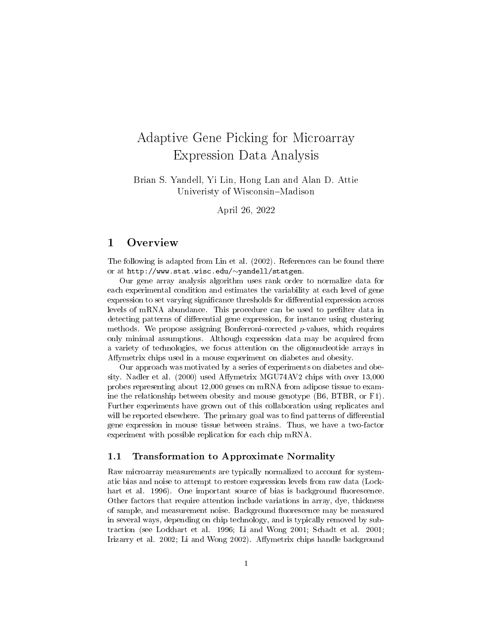# Adaptive Gene Picking for Microarray Expression Data Analysis

Brian S. Yandell, Yi Lin, Hong Lan and Alan D. Attie Univeristy of Wisconsin–Madison

April 26, 2022

## 1 Overview

The following is adapted from Lin et al. (2002). References can be found there or at http://www.stat.wisc.edu/∼yandell/statgen.

Our gene array analysis algorithm uses rank order to normalize data for each experimental condition and estimates the variability at each level of gene expression to set varying significance thresholds for differential expression across levels of mRNA abundance. This procedure can be used to prefilter data in detecting patterns of differential gene expression, for instance using clustering methods. We propose assigning Bonferroni-corrected  $p$ -values, which requires only minimal assumptions. Although expression data may be acquired from a variety of technologies, we focus attention on the oligonucleotide arrays in Affymetrix chips used in a mouse experiment on diabetes and obesity.

Our approach was motivated by a series of experiments on diabetes and obesity. Nadler et al. (2000) used Affymetrix MGU74AV2 chips with over 13,000 probes representing about 12,000 genes on mRNA from adipose tissue to examine the relationship between obesity and mouse genotype (B6, BTBR, or F1). Further experiments have grown out of this collaboration using replicates and will be reported elsewhere. The primary goal was to find patterns of differential gene expression in mouse tissue between strains. Thus, we have a two-factor experiment with possible replication for each chip mRNA.

#### 1.1 Transformation to Approximate Normality

Raw microarray measurements are typically normalized to account for systematic bias and noise to attempt to restore expression levels from raw data (Lockhart et al. 1996). One important source of bias is background fluorescence. Other factors that require attention include variations in array, dye, thickness of sample, and measurement noise. Background fluorescence may be measured in several ways, depending on chip technology, and is typically removed by subtraction (see Lockhart et al. 1996; Li and Wong 2001; Schadt et al. 2001; Irizarry et al. 2002; Li and Wong 2002). Affymetrix chips handle background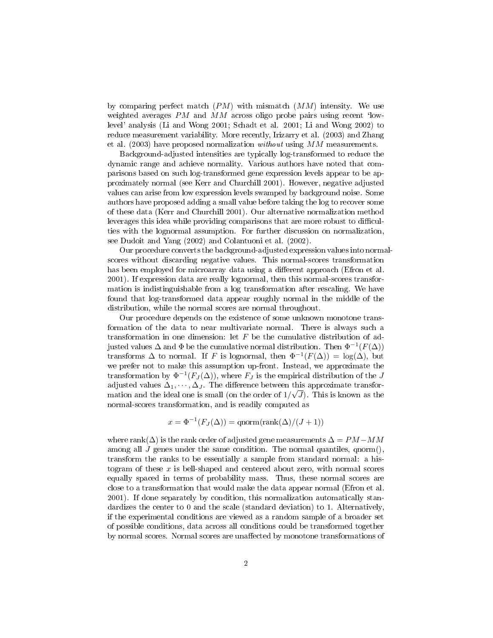by comparing perfect match  $(PM)$  with mismatch  $(MM)$  intensity. We use weighted averages  $PM$  and  $MM$  across oligo probe pairs using recent 'lowlevel' analysis (Li and Wong 2001; Schadt et al. 2001; Li and Wong 2002) to reduce measurement variability. More recently, Irizarry et al. (2003) and Zhang et al. (2003) have proposed normalization *without* using  $MM$  measurements.

Background-adjusted intensities are typically log-transformed to reduce the dynamic range and achieve normality. Various authors have noted that comparisons based on such log-transformed gene expression levels appear to be approximately normal (see Kerr and Churchill 2001). However, negative adjusted values can arise from low expression levels swamped by background noise. Some authors have proposed adding a small value before taking the log to recover some of these data (Kerr and Churchill 2001). Our alternative normalization method leverages this idea while providing comparisons that are more robust to difficulties with the lognormal assumption. For further discussion on normalization, see Dudoit and Yang (2002) and Colantuoni et al. (2002).

Our procedure converts the background-adjusted expression values into normalscores without discarding negative values. This normal-scores transformation has been employed for microarray data using a different approach (Efron et al. 2001). If expression data are really lognormal, then this normal-scores transformation is indistinguishable from a log transformation after rescaling. We have found that log-transformed data appear roughly normal in the middle of the distribution, while the normal scores are normal throughout.

Our procedure depends on the existence of some unknown monotone transformation of the data to near multivariate normal. There is always such a transformation in one dimension: let  $F$  be the cumulative distribution of adjusted values  $\Delta$  and  $\Phi$  be the cumulative normal distribution. Then  $\Phi^{-1}(F(\Delta))$ transforms  $\Delta$  to normal. If F is lognormal, then  $\Phi^{-1}(F(\Delta)) = \log(\Delta)$ , but we prefer not to make this assumption up-front. Instead, we approximate the transformation by  $\Phi^{-1}(F_J(\Delta))$ , where  $F_J$  is the empirical distribution of the J adjusted values  $\Delta_1, \cdots, \Delta_J$ . The difference between this approximate transformation and the ideal one is small (on the order of  $1/\sqrt{J}$ ). This is known as the normal-scores transformation, and is readily computed as

$$
x = \Phi^{-1}(F_J(\Delta)) = \text{qnorm}(\text{rank}(\Delta)/(J+1))
$$

where rank( $\Delta$ ) is the rank order of adjusted gene measurements  $\Delta = PM-MM$ among all J genes under the same condition. The normal quantiles, qnorm(), transform the ranks to be essentially a sample from standard normal: a histogram of these  $x$  is bell-shaped and centered about zero, with normal scores equally spaced in terms of probability mass. Thus, these normal scores are close to a transformation that would make the data appear normal (Efron et al. 2001). If done separately by condition, this normalization automatically standardizes the center to 0 and the scale (standard deviation) to 1. Alternatively, if the experimental conditions are viewed as a random sample of a broader set of possible conditions, data across all conditions could be transformed together by normal scores. Normal scores are unaffected by monotone transformations of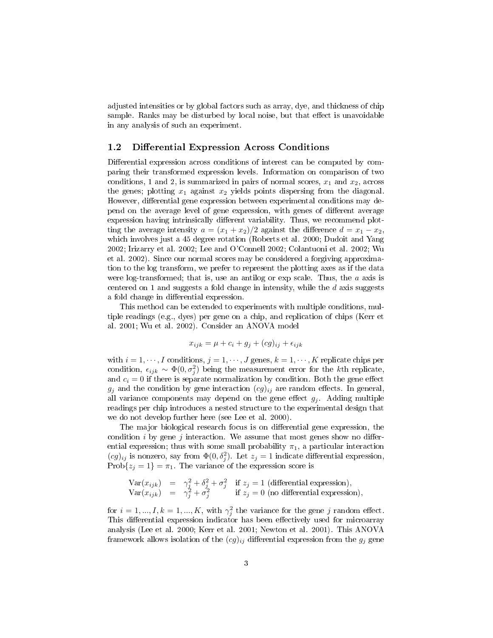adjusted intensities or by global factors such as array, dye, and thickness of chip sample. Ranks may be disturbed by local noise, but that effect is unavoidable in any analysis of such an experiment.

#### 1.2 Differential Expression Across Conditions

Differential expression across conditions of interest can be computed by comparing their transformed expression levels. Information on comparison of two conditions, 1 and 2, is summarized in pairs of normal scores,  $x_1$  and  $x_2$ , across the genes; plotting  $x_1$  against  $x_2$  yields points dispersing from the diagonal. However, differential gene expression between experimental conditions may depend on the average level of gene expression, with genes of different average expression having intrinsically different variability. Thus, we recommend plotting the average intensity  $a = (x_1 + x_2)/2$  against the difference  $d = x_1 - x_2$ , which involves just a 45 degree rotation (Roberts et al. 2000; Dudoit and Yang 2002; Irizarry et al. 2002; Lee and O'Connell 2002; Colantuoni et al. 2002; Wu et al. 2002). Since our normal scores may be considered a forgiving approximation to the log transform, we prefer to represent the plotting axes as if the data were log-transformed; that is, use an antilog or exp scale. Thus, the  $a$  axis is centered on 1 and suggests a fold change in intensity, while the  $d$  axis suggests a fold change in differential expression.

This method can be extended to experiments with multiple conditions, multiple readings (e.g., dyes) per gene on a chip, and replication of chips (Kerr et al. 2001; Wu et al. 2002). Consider an ANOVA model

$$
x_{ijk} = \mu + c_i + g_j + (cg)_{ij} + \epsilon_{ijk}
$$

with  $i = 1, \dots, I$  conditions,  $j = 1, \dots, J$  genes,  $k = 1, \dots, K$  replicate chips per condition,  $\epsilon_{ijk} \sim \Phi(0, \sigma_j^2)$  being the measurement error for the kth replicate, and  $c_i = 0$  if there is separate normalization by condition. Both the gene effect  $g_j$  and the condition by gene interaction  $(cg)_{ij}$  are random effects. In general, all variance components may depend on the gene effect  $g_j$ . Adding multiple readings per chip introduces a nested structure to the experimental design that we do not develop further here (see Lee et al. 2000).

The major biological research focus is on differential gene expression, the condition i by gene j interaction. We assume that most genes show no differential expression; thus with some small probability  $\pi_1$ , a particular interaction  $(cg)_{ij}$  is nonzero, say from  $\Phi(0, \delta_j^2)$ . Let  $z_j = 1$  indicate differential expression, Prob $\{z_j = 1\} = \pi_1$ . The variance of the expression score is

Var
$$
(x_{ijk})
$$
 =  $\gamma_j^2 + \delta_j^2 + \sigma_j^2$  if  $z_j = 1$  (differential expression),  
Var $(x_{ijk})$  =  $\gamma_j^2 + \sigma_j^2$  if  $z_j = 0$  (no differential expression),

for  $i = 1, ..., I, k = 1, ..., K$ , with  $\gamma_j^2$  the variance for the gene j random effect. This differential expression indicator has been effectively used for microarray analysis (Lee et al. 2000; Kerr et al. 2001; Newton et al. 2001). This ANOVA framework allows isolation of the  $(cg)_{ij}$  differential expression from the  $g_j$  gene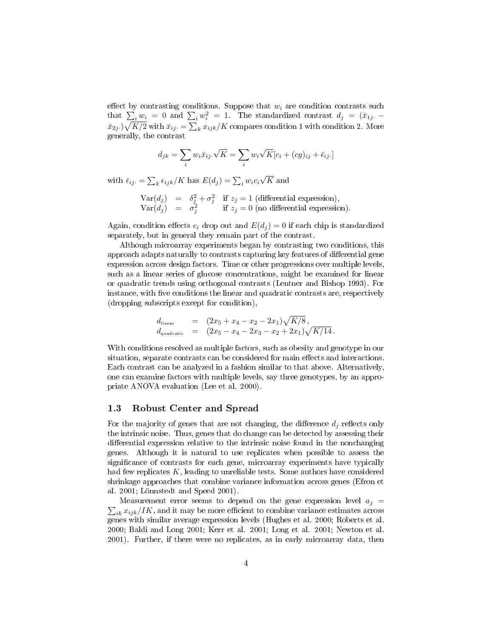effect by contrasting conditions. Suppose that  $w_i$  are condition contrasts such that  $\sum_i w_i = 0$  and  $\sum_i w_i^2 = 1$ . The standardized contrast  $d_j = (\bar{x}_{1j} (\bar{x}_{2j\cdot})\sqrt{K/2}$  with  $\bar{x}_{ij\cdot} = \sum_k x_{ijk}/K$  compares condition 1 with condition 2. More generally, the contrast

$$
d_{jk} = \sum_{i} w_i \bar{x}_{ij} \cdot \sqrt{K} = \sum_{i} w_i \sqrt{K} [c_i + (cg)_{ij} + \bar{\epsilon}_{ij}].
$$

with  $\bar{\epsilon}_{ij} = \sum_{k} \epsilon_{ijk} / K$  has  $E(d_j) = \sum_{i} w_i c_i$ √  $K$  and

> $Var(d_j) = \delta_j^2 + \sigma_j^2$  if  $z_j = 1$  (differential expression),  $Var(d_j) = \sigma_j^2$  if  $z_j = 0$  (no differential expression).

Again, condition effects  $c_i$  drop out and  $E(d_i) = 0$  if each chip is standardized separately, but in general they remain part of the contrast.

Although microarray experiments began by contrasting two conditions, this approach adapts naturally to contrasts capturing key features of differential gene expression across design factors. Time or other progressions over multiple levels, such as a linear series of glucose concentrations, might be examined for linear or quadratic trends using orthogonal contrasts (Lentner and Bishop 1993). For instance, with five conditions the linear and quadratic contrasts are, respectively (dropping subscripts except for condition),

$$
d_{\text{linear}} = (2x_5 + x_4 - x_2 - 2x_1)\sqrt{K/8},
$$
  
\n
$$
d_{\text{quadratic}} = (2x_5 - x_4 - 2x_3 - x_2 + 2x_1)\sqrt{K/14}.
$$

With conditions resolved as multiple factors, such as obesity and genotype in our situation, separate contrasts can be considered for main effects and interactions. Each contrast can be analyzed in a fashion similar to that above. Alternatively, one can examine factors with multiple levels, say three genotypes, by an appropriate ANOVA evaluation (Lee et al. 2000).

#### 1.3 Robust Center and Spread

For the majority of genes that are not changing, the difference  $d_j$  reflects only the intrinsic noise. Thus, genes that do change can be detected by assessing their differential expression relative to the intrinsic noise found in the nonchanging genes. Although it is natural to use replicates when possible to assess the significance of contrasts for each gene, microarray experiments have typically had few replicates K, leading to unreliable tests. Some authors have considered shrinkage approaches that combine variance information across genes (Efron et al. 2001; Lönnstedt and Speed 2001).

 $\sum_{ik} x_{ijk}/IK$ , and it may be more efficient to combine variance estimates across Measurement error seems to depend on the gene expression level  $a_j =$ genes with similar average expression levels (Hughes et al. 2000; Roberts et al. 2000; Baldi and Long 2001; Kerr et al. 2001; Long et al. 2001; Newton et al. 2001). Further, if there were no replicates, as in early microarray data, then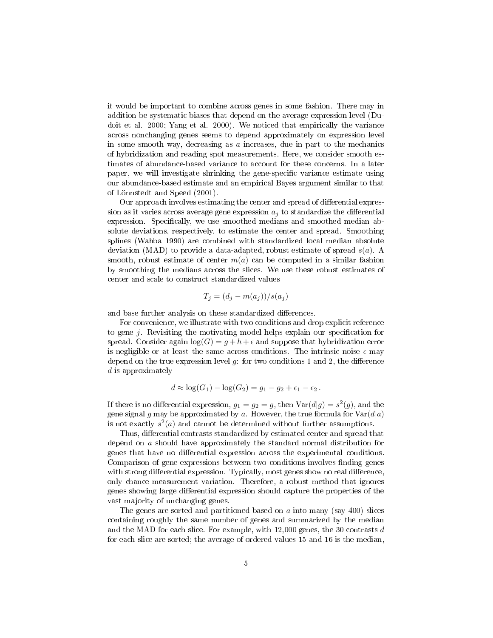it would be important to combine across genes in some fashion. There may in addition be systematic biases that depend on the average expression level (Dudoit et al. 2000; Yang et al. 2000). We noticed that empirically the variance across nonchanging genes seems to depend approximately on expression level in some smooth way, decreasing as  $\alpha$  increases, due in part to the mechanics of hybridization and reading spot measurements. Here, we consider smooth estimates of abundance-based variance to account for these concerns. In a later paper, we will investigate shrinking the gene-specific variance estimate using our abundance-based estimate and an empirical Bayes argument similar to that of Lönnstedt and Speed (2001).

Our approach involves estimating the center and spread of differential expression as it varies across average gene expression  $a_i$  to standardize the differential expression. Specifically, we use smoothed medians and smoothed median absolute deviations, respectively, to estimate the center and spread. Smoothing splines (Wahba 1990) are combined with standardized local median absolute deviation (MAD) to provide a data-adapted, robust estimate of spread  $s(a)$ . A smooth, robust estimate of center  $m(a)$  can be computed in a similar fashion by smoothing the medians across the slices. We use these robust estimates of center and scale to construct standardized values

$$
T_j = (d_j - m(a_j))/s(a_j)
$$

and base further analysis on these standardized differences.

For convenience, we illustrate with two conditions and drop explicit reference to gene  $j$ . Revisiting the motivating model helps explain our specification for spread. Consider again  $log(G) = g + h + \epsilon$  and suppose that hybridization error is negligible or at least the same across conditions. The intrinsic noise  $\epsilon$  may depend on the true expression level  $q$ : for two conditions 1 and 2, the difference d is approximately

$$
d \approx \log(G_1) - \log(G_2) = g_1 - g_2 + \epsilon_1 - \epsilon_2.
$$

If there is no differential expression,  $g_1 = g_2 = g$ , then  $Var(d|g) = s^2(g)$ , and the gene signal g may be approximated by a. However, the true formula for  $Var(d|a)$ is not exactly  $s^2(a)$  and cannot be determined without further assumptions.

Thus, differential contrasts standardized by estimated center and spread that depend on a should have approximately the standard normal distribution for genes that have no differential expression across the experimental conditions. Comparison of gene expressions between two conditions involves finding genes with strong differential expression. Typically, most genes show no real difference, only chance measurement variation. Therefore, a robust method that ignores genes showing large differential expression should capture the properties of the vast majority of unchanging genes.

The genes are sorted and partitioned based on  $\alpha$  into many (say 400) slices containing roughly the same number of genes and summarized by the median and the MAD for each slice. For example, with  $12,000$  genes, the 30 contrasts d for each slice are sorted; the average of ordered values 15 and 16 is the median,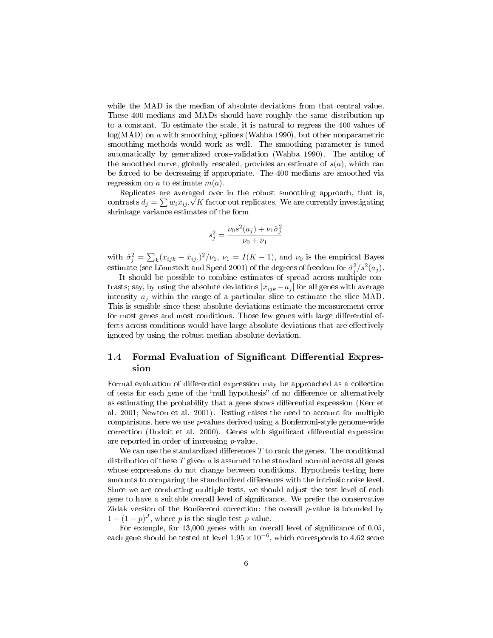while the MAD is the median of absolute deviations from that central value. These 400 medians and MADs should have roughly the same distribution up to a constant. To estimate the scale, it is natural to regress the 400 values of  $log(MAD)$  on a with smoothing splines (Wahba 1990), but other nonparametric smoothing methods would work as well. The smoothing parameter is tuned automatically by generalized cross-validation (Wahba 1990). The antilog of the smoothed curve, globally rescaled, provides an estimate of  $s(a)$ , which can be forced to be decreasing if appropriate. The 400 medians are smoothed via regression on a to estimate  $m(a)$ .

Replicates are averaged over in the robust smoothing approach, that is, contrasts  $d_j = \sum w_i \bar{x}_{ij}$ .  $\sqrt{K}$  factor out replicates. We are currently investigating shrinkage variance estimates of the form

$$
s_j^2 = \frac{\nu_0 s^2(a_j) + \nu_1 \hat{\sigma}_j^2}{\nu_0 + \nu_1}
$$

with  $\hat{\sigma}_j^2 = \sum_k (x_{ijk} - \bar{x}_{ij.})^2 / \nu_1$ ,  $\nu_1 = I(K - 1)$ , and  $\nu_0$  is the empirical Bayes estimate (see Lönnstedt and Speed 2001) of the degrees of freedom for  $\hat{\sigma}_j^2/s^2(a_j)$ .

It should be possible to combine estimates of spread across multiple contrasts; say, by using the absolute deviations  $|x_{ijk} - a_j|$  for all genes with average intensity  $a_j$  within the range of a particular slice to estimate the slice MAD. This is sensible since these absolute deviations estimate the measurement error for most genes and most conditions. Those few genes with large differential effects across conditions would have large absolute deviations that are effectively ignored by using the robust median absolute deviation.

## 1.4 Formal Evaluation of Significant Differential Expression

Formal evaluation of differential expression may be approached as a collection of tests for each gene of the "null hypothesis" of no difference or alternatively as estimating the probability that a gene shows differential expression (Kerr et al. 2001; Newton et al. 2001). Testing raises the need to account for multiple comparisons, here we use p-values derived using a Bonferroni-style genome-wide correction (Dudoit et al. 2000). Genes with significant differential expression are reported in order of increasing p-value.

We can use the standardized differences  $T$  to rank the genes. The conditional distribution of these  $T$  given  $a$  is assumed to be standard normal across all genes whose expressions do not change between conditions. Hypothesis testing here amounts to comparing the standardized differences with the intrinsic noise level. Since we are conducting multiple tests, we should adjust the test level of each gene to have a suitable overall level of signicance. We prefer the conservative Zidak version of the Bonferroni correction: the overall  $p$ -value is bounded by  $1 - (1 - p)^J$ , where p is the single-test p-value.

For example, for 13,000 genes with an overall level of significance of 0.05, each gene should be tested at level  $1.95 \times 10^{-6}$ , which corresponds to 4.62 score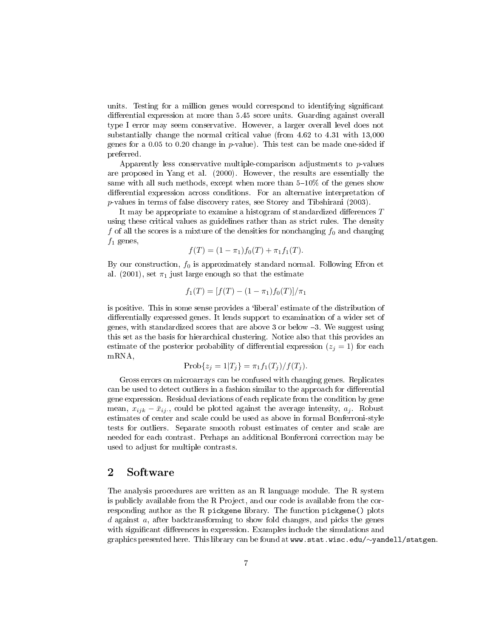units. Testing for a million genes would correspond to identifying signicant differential expression at more than 5.45 score units. Guarding against overall type I error may seem conservative. However, a larger overall level does not substantially change the normal critical value (from 4.62 to 4.31 with 13,000 genes for a 0.05 to 0.20 change in p-value). This test can be made one-sided if preferred.

Apparently less conservative multiple-comparison adjustments to  $p$ -values are proposed in Yang et al. (2000). However, the results are essentially the same with all such methods, except when more than  $5-10\%$  of the genes show differential expression across conditions. For an alternative interpretation of p-values in terms of false discovery rates, see Storey and Tibshirani (2003).

It may be appropriate to examine a histogram of standardized differences  $T$ using these critical values as guidelines rather than as strict rules. The density f of all the scores is a mixture of the densities for nonchanging  $f_0$  and changing  $f_1$  genes,

$$
f(T) = (1 - \pi_1) f_0(T) + \pi_1 f_1(T).
$$

By our construction,  $f_0$  is approximately standard normal. Following Efron et al. (2001), set  $\pi_1$  just large enough so that the estimate

$$
f_1(T) = [f(T) - (1 - \pi_1)f_0(T)]/\pi_1
$$

is positive. This in some sense provides a `liberal' estimate of the distribution of differentially expressed genes. It lends support to examination of a wider set of genes, with standardized scores that are above 3 or below 3. We suggest using this set as the basis for hierarchical clustering. Notice also that this provides an estimate of the posterior probability of differential expression  $(z<sub>i</sub> = 1)$  for each mRNA,

$$
Prob{z_j = 1 | T_j} = \pi_1 f_1(T_j) / f(T_j).
$$

Gross errors on microarrays can be confused with changing genes. Replicates can be used to detect outliers in a fashion similar to the approach for differential gene expression. Residual deviations of each replicate from the condition by gene mean,  $x_{ijk} - \bar{x}_{ij}$ , could be plotted against the average intensity,  $a_j$ . Robust estimates of center and scale could be used as above in formal Bonferroni-style tests for outliers. Separate smooth robust estimates of center and scale are needed for each contrast. Perhaps an additional Bonferroni correction may be used to adjust for multiple contrasts.

## 2 Software

The analysis procedures are written as an R language module. The R system is publicly available from the R Project, and our code is available from the corresponding author as the R pickgene library. The function pickgene() plots d against  $a$ , after backtransforming to show fold changes, and picks the genes with significant differences in expression. Examples include the simulations and graphics presented here. This library can be found at www.stat.wisc.edu/∼yandell/statgen.